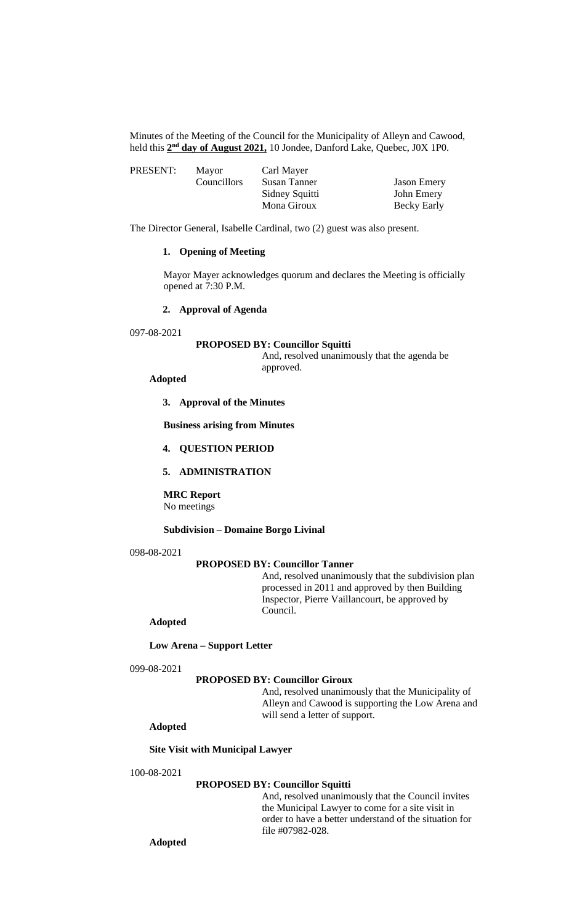Minutes of the Meeting of the Council for the Municipality of Alleyn and Cawood, held this  $2<sup>nd</sup>$  day of August 2021, 10 Jondee, Danford Lake, Quebec, J0X 1P0.

| PRESENT: | Mayor       | Carl Mayer     |                    |
|----------|-------------|----------------|--------------------|
|          | Councillors | Susan Tanner   | <b>Jason Emery</b> |
|          |             | Sidney Squitti | John Emery         |
|          |             | Mona Giroux    | Becky Early        |

The Director General, Isabelle Cardinal, two (2) guest was also present.

# **1. Opening of Meeting**

Mayor Mayer acknowledges quorum and declares the Meeting is officially opened at 7:30 P.M.

# **2. Approval of Agenda**

097-08-2021

#### **PROPOSED BY: Councillor Squitti**

And, resolved unanimously that the agenda be approved.

## **Adopted**

**3. Approval of the Minutes**

**Business arising from Minutes**

## **4. QUESTION PERIOD**

# **5. ADMINISTRATION**

**MRC Report** No meetings

#### **Subdivision – Domaine Borgo Livinal**

098-08-2021

#### **PROPOSED BY: Councillor Tanner**

And, resolved unanimously that the subdivision plan processed in 2011 and approved by then Building Inspector, Pierre Vaillancourt, be approved by Council.

# **Adopted**

#### **Low Arena – Support Letter**

099-08-2021

## **PROPOSED BY: Councillor Giroux**

And, resolved unanimously that the Municipality of Alleyn and Cawood is supporting the Low Arena and will send a letter of support.

# **Adopted**

## **Site Visit with Municipal Lawyer**

## 100-08-2021

#### **PROPOSED BY: Councillor Squitti**

And, resolved unanimously that the Council invites the Municipal Lawyer to come for a site visit in order to have a better understand of the situation for file #07982-028.

**Adopted**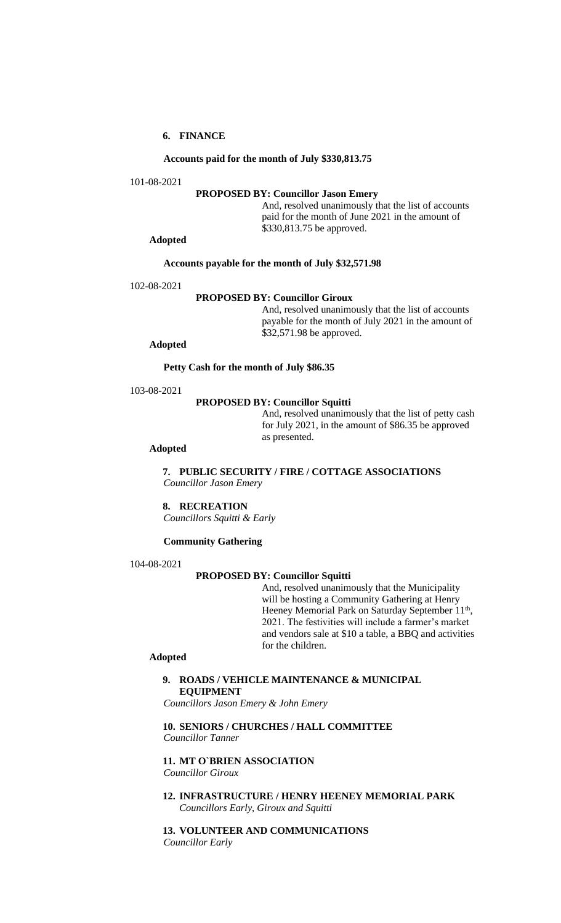# **6. FINANCE**

#### **Accounts paid for the month of July \$330,813.75**

101-08-2021

## **PROPOSED BY: Councillor Jason Emery**

And, resolved unanimously that the list of accounts paid for the month of June 2021 in the amount of \$330,813.75 be approved.

**Adopted** 

#### **Accounts payable for the month of July \$32,571.98**

102-08-2021

## **PROPOSED BY: Councillor Giroux**

And, resolved unanimously that the list of accounts payable for the month of July 2021 in the amount of \$32,571.98 be approved.

**Adopted**

**Petty Cash for the month of July \$86.35**

103-08-2021

#### **PROPOSED BY: Councillor Squitti**

And, resolved unanimously that the list of petty cash for July 2021, in the amount of \$86.35 be approved as presented.

**Adopted** 

**7. PUBLIC SECURITY / FIRE / COTTAGE ASSOCIATIONS** *Councillor Jason Emery*

**8. RECREATION** *Councillors Squitti & Early*

## **Community Gathering**

104-08-2021

#### **PROPOSED BY: Councillor Squitti**

And, resolved unanimously that the Municipality will be hosting a Community Gathering at Henry Heeney Memorial Park on Saturday September 11<sup>th</sup>, 2021. The festivities will include a farmer's market and vendors sale at \$10 a table, a BBQ and activities for the children.

#### **Adopted**

## **9. ROADS / VEHICLE MAINTENANCE & MUNICIPAL EQUIPMENT**

*Councillors Jason Emery & John Emery*

**10. SENIORS / CHURCHES / HALL COMMITTEE** *Councillor Tanner*

# **11. MT O`BRIEN ASSOCIATION**

*Councillor Giroux*

**12. INFRASTRUCTURE / HENRY HEENEY MEMORIAL PARK** *Councillors Early, Giroux and Squitti*

**13. VOLUNTEER AND COMMUNICATIONS** *Councillor Early*